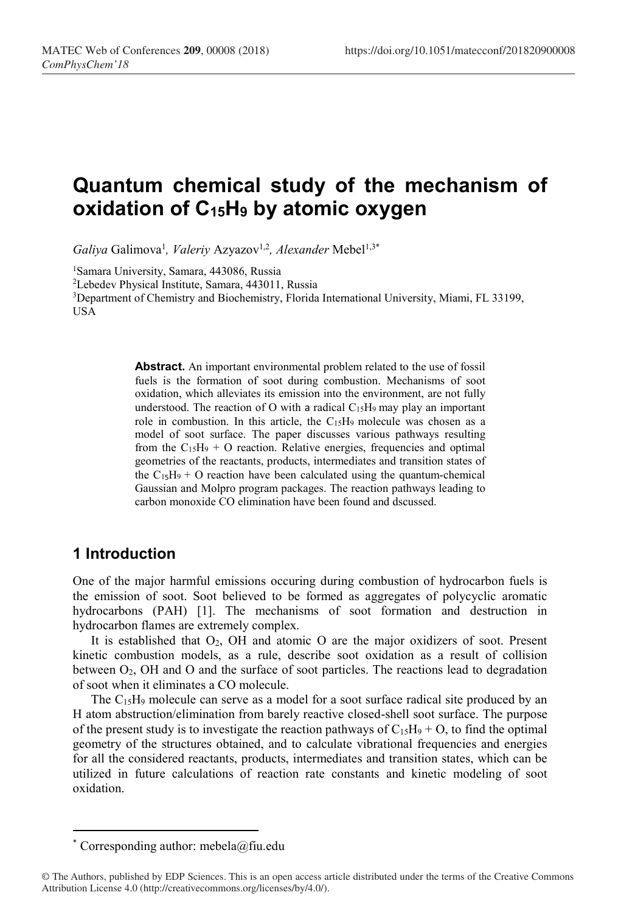# Quantum chemical study of the mechanism of oxidation of  $C_{15}H_9$  by atomic oxygen

Galiya Galimova<sup>1</sup>, Valeriy Azyazov<sup>1,2</sup>, Alexander Mebel<sup>1,3\*</sup>

<sup>1</sup>Samara University, Samara, 443086, Russia

<sup>2</sup>Lebedev Physical Institute, Samara, 443011, Russia

<sup>3</sup>Department of Chemistry and Biochemistry, Florida International University, Miami, FL 33199, USA

> Abstract. An important environmental problem related to the use of fossil fuels is the formation of soot during combustion. Mechanisms of soot oxidation, which alleviates its emission into the environment, are not fully understood. The reaction of O with a radical  $C_{15}H_9$  may play an important role in combustion. In this article, the C15H9 molecule was chosen as a model of soot surface. The paper discusses various pathways resulting from the  $C_{15}H_9 + O$  reaction. Relative energies, frequencies and optimal geometries of the reactants, products, intermediates and transition states of the  $C_{15}H_9 + O$  reaction have been calculated using the quantum-chemical Gaussian and Molpro program packages. The reaction pathways leading to carbon monoxide CO elimination have been found and dscussed.

## 1 Introduction

-

One of the major harmful emissions occuring during combustion of hydrocarbon fuels is the emission of soot. Soot believed to be formed as aggregates of polycyclic aromatic hydrocarbons (PAH) [1]. The mechanisms of soot formation and destruction in hydrocarbon flames are extremely complex.

It is established that  $O_2$ , OH and atomic O are the major oxidizers of soot. Present kinetic combustion models, as a rule, describe soot oxidation as a result of collision between  $O_2$ , OH and O and the surface of soot particles. The reactions lead to degradation of soot when it eliminates a CO molecule.

The  $C_1$ <sub>5</sub>H<sub>9</sub> molecule can serve as a model for a soot surface radical site produced by an H atom abstruction/elimination from barely reactive closed-shell soot surface. The purpose of the present study is to investigate the reaction pathways of  $C_{15}H_9 + O$ , to find the optimal geometry of the structures obtained, and to calculate vibrational frequencies and energies for all the considered reactants, products, intermediates and transition states, which can be utilized in future calculations of reaction rate constants and kinetic modeling of soot oxidation.

<sup>\*</sup> Corresponding author: mebela@fiu.edu

<sup>©</sup> The Authors, published by EDP Sciences. This is an open access article distributed under the terms of the Creative Commons Attribution License 4.0 (http://creativecommons.org/licenses/by/4.0/).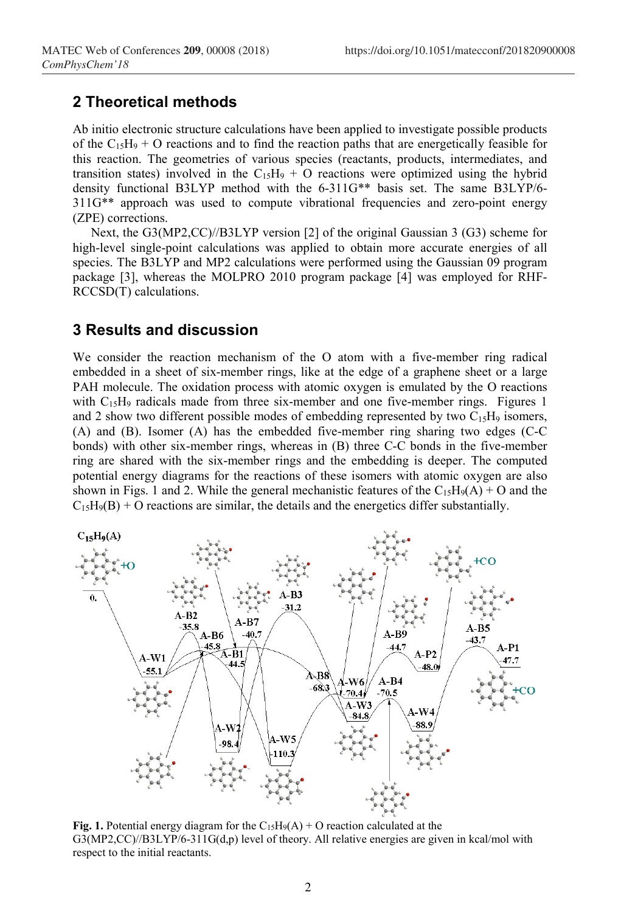### 2 Theoretical methods

Ab initio electronic structure calculations have been applied to investigate possible products of the  $C_{15}H_9 + O$  reactions and to find the reaction paths that are energetically feasible for this reaction. The geometries of various species (reactants, products, intermediates, and transition states) involved in the  $C_{15}H_9 + O$  reactions were optimized using the hybrid density functional B3LYP method with the 6-311G\*\* basis set. The same B3LYP/6- 311G\*\* approach was used to compute vibrational frequencies and zero-point energy (ZPE) corrections.

Next, the G3(MP2,CC)//B3LYP version [2] of the original Gaussian 3 (G3) scheme for high-level single-point calculations was applied to obtain more accurate energies of all species. The B3LYP and MP2 calculations were performed using the Gaussian 09 program package [3], whereas the MOLPRO 2010 program package [4] was employed for RHF-RCCSD(T) calculations.

#### 3 Results and discussion

We consider the reaction mechanism of the O atom with a five-member ring radical embedded in a sheet of six-member rings, like at the edge of a graphene sheet or a large PAH molecule. The oxidation process with atomic oxygen is emulated by the O reactions with  $C_{15}H_9$  radicals made from three six-member and one five-member rings. Figures 1 and 2 show two different possible modes of embedding represented by two  $C_{15}H_9$  isomers, (A) and (B). Isomer (A) has the embedded five-member ring sharing two edges (C-C bonds) with other six-member rings, whereas in (B) three C-C bonds in the five-member ring are shared with the six-member rings and the embedding is deeper. The computed potential energy diagrams for the reactions of these isomers with atomic oxygen are also shown in Figs. 1 and 2. While the general mechanistic features of the  $C_{15}H_9(A) + O$  and the  $C_{15}H_9(B) + O$  reactions are similar, the details and the energetics differ substantially.



Fig. 1. Potential energy diagram for the  $C_{15}H_9(A) + O$  reaction calculated at the  $G3(MP2,CC)/B3LYP/6-311G(d,p)$  level of theory. All relative energies are given in kcal/mol with respect to the initial reactants.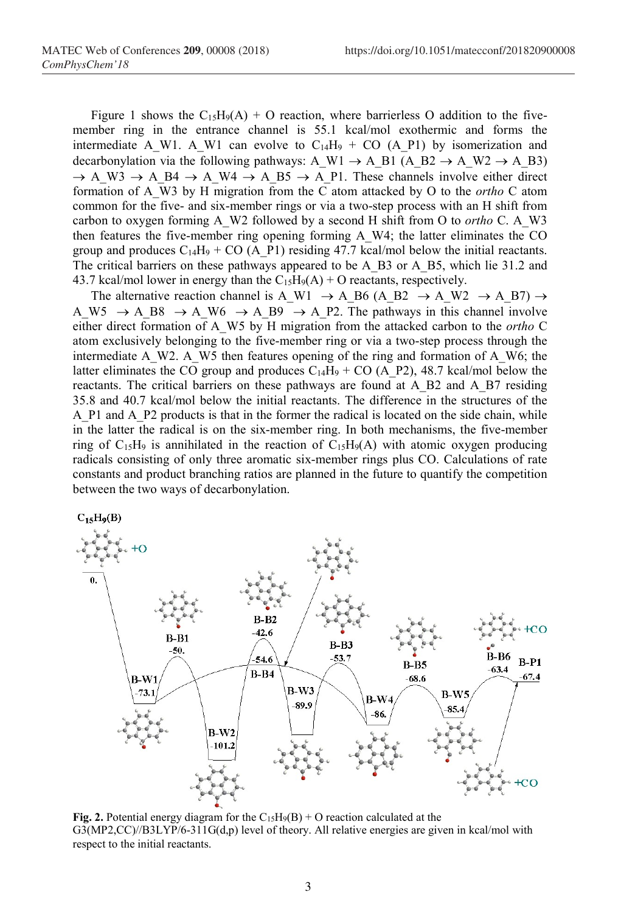Figure 1 shows the  $C_15H_9(A) + O$  reaction, where barrierless O addition to the fivemember ring in the entrance channel is 55.1 kcal/mol exothermic and forms the intermediate A\_W1. A\_W1 can evolve to C<sub>14</sub>H<sub>9</sub> + CO (A\_P1) by isomerization and decarbonylation via the following pathways: A\_W1  $\rightarrow$  A\_B1 (A\_B2  $\rightarrow$  A\_W2  $\rightarrow$  A\_B3)  $\rightarrow$  A\_W3  $\rightarrow$  A\_B4  $\rightarrow$  A\_W4  $\rightarrow$  A\_B5  $\rightarrow$  A\_P1. These channels involve either direct formation of A\_W3 by H migration from the C atom attacked by O to the *ortho* C atom common for the five- and six-member rings or via a two-step process with an H shift from carbon to oxygen forming A\_W2 followed by a second H shift from O to *ortho* C. A\_W3 then features the five-member ring opening forming A\_W4; the latter eliminates the CO group and produces  $C_{14}H_9 + CO$  (A\_P1) residing 47.7 kcal/mol below the initial reactants. The critical barriers on these pathways appeared to be A\_B3 or A\_B5, which lie 31.2 and 43.7 kcal/mol lower in energy than the  $C_{15}H_9(A) + O$  reactants, respectively.

The alternative reaction channel is A\_W1  $\rightarrow$  A\_B6 (A\_B2  $\rightarrow$  A\_W2  $\rightarrow$  A\_B7)  $\rightarrow$ A W5  $\rightarrow$  A B8  $\rightarrow$  A W6  $\rightarrow$  A B9  $\rightarrow$  A P2. The pathways in this channel involve either direct formation of A\_W5 by H migration from the attacked carbon to the *ortho* C atom exclusively belonging to the five-member ring or via a two-step process through the intermediate A\_W2. A\_W5 then features opening of the ring and formation of A\_W6; the latter eliminates the CO group and produces  $C_{14}H_9 + CO$  (A\_P2), 48.7 kcal/mol below the reactants. The critical barriers on these pathways are found at A\_B2 and A\_B7 residing 35.8 and 40.7 kcal/mol below the initial reactants. The difference in the structures of the A\_P1 and A\_P2 products is that in the former the radical is located on the side chain, while in the latter the radical is on the six-member ring. In both mechanisms, the five-member ring of  $C_15H_9$  is annihilated in the reaction of  $C_15H_9(A)$  with atomic oxygen producing radicals consisting of only three aromatic six-member rings plus CO. Calculations of rate constants and product branching ratios are planned in the future to quantify the competition between the two ways of decarbonylation.



Fig. 2. Potential energy diagram for the  $C_15H_9(B) + O$  reaction calculated at the G3(MP2,CC)//B3LYP/6-311G(d,p) level of theory. All relative energies are given in kcal/mol with respect to the initial reactants.